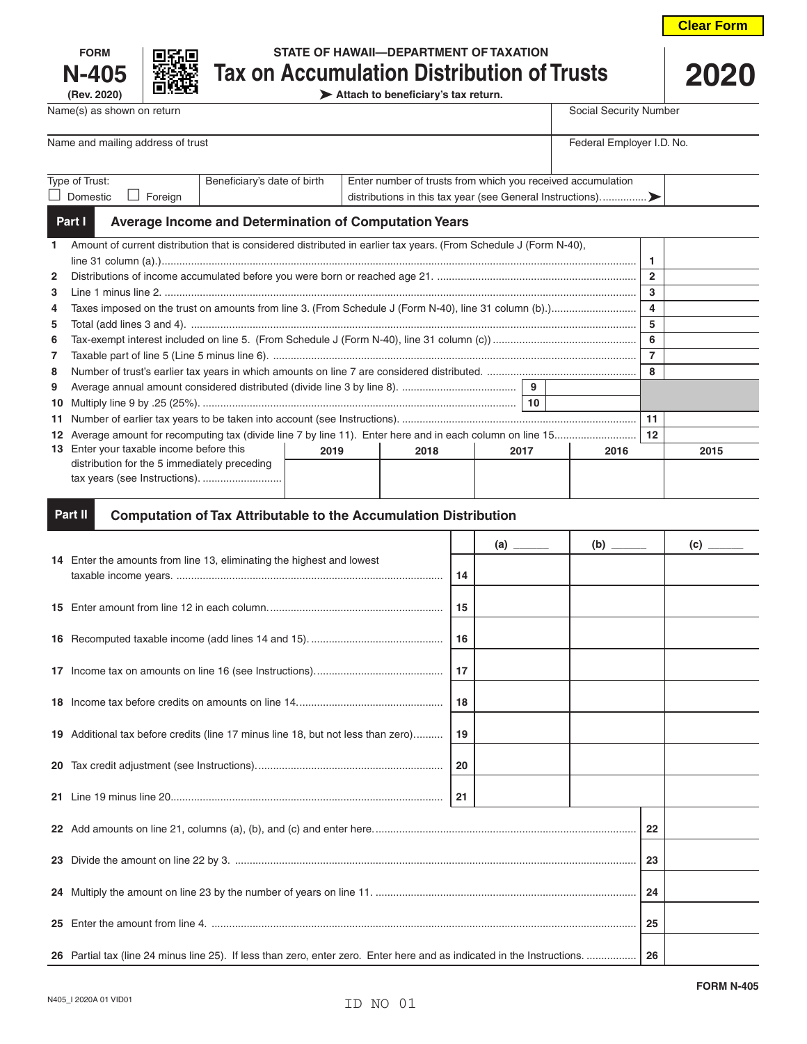



# **FORM STATE OF HAWAII—DEPARTMENT OF TAXATION N-405 Tax on Accumulation Distribution of Trusts**

**(Rev. 2020) Attach to beneficiary's tax return.**

Name and mailing address of trust Federal Employer I.D. No. Type of Trust: D Domestic D Foreign Beneficiary's date of birth  $\Box$  Enter number of trusts from which you received accumulation distributions in this tax year (see General Instructions).......................

Name(s) as shown on return Social Security Number

#### **Average Income and Determination of Computation Years Part I**

| $\mathbf{1}$   | Amount of current distribution that is considered distributed in earlier tax years. (From Schedule J (Form N-40), |                      |  |      |  |      |  |  |
|----------------|-------------------------------------------------------------------------------------------------------------------|----------------------|--|------|--|------|--|--|
|                |                                                                                                                   |                      |  |      |  |      |  |  |
| $\mathbf{2}$   |                                                                                                                   | $\overline{2}$       |  |      |  |      |  |  |
| 3              |                                                                                                                   | 3                    |  |      |  |      |  |  |
| 4              |                                                                                                                   | 4                    |  |      |  |      |  |  |
| 5              |                                                                                                                   |                      |  |      |  |      |  |  |
| 6              |                                                                                                                   | 6                    |  |      |  |      |  |  |
| $\overline{7}$ |                                                                                                                   |                      |  |      |  |      |  |  |
| 8              |                                                                                                                   | 8                    |  |      |  |      |  |  |
| 9              | 9                                                                                                                 |                      |  |      |  |      |  |  |
|                |                                                                                                                   |                      |  |      |  |      |  |  |
|                |                                                                                                                   | 11                   |  |      |  |      |  |  |
|                |                                                                                                                   | 12                   |  |      |  |      |  |  |
|                | 13 Enter your taxable income before this                                                                          | 2019<br>2018<br>2017 |  | 2016 |  | 2015 |  |  |
|                | distribution for the 5 immediately preceding                                                                      |                      |  |      |  |      |  |  |
|                |                                                                                                                   |                      |  |      |  |      |  |  |
|                |                                                                                                                   |                      |  |      |  |      |  |  |
|                |                                                                                                                   |                      |  |      |  |      |  |  |

#### **Computation of Tax Attributable to the Accumulation Distribution Part II**

|                                                                                  |    |    |  |  | $\overline{c}$ |  |
|----------------------------------------------------------------------------------|----|----|--|--|----------------|--|
| 14 Enter the amounts from line 13, eliminating the highest and lowest            | 14 |    |  |  |                |  |
|                                                                                  | 15 |    |  |  |                |  |
|                                                                                  | 16 |    |  |  |                |  |
|                                                                                  | 17 |    |  |  |                |  |
|                                                                                  | 18 |    |  |  |                |  |
| 19 Additional tax before credits (line 17 minus line 18, but not less than zero) | 19 |    |  |  |                |  |
|                                                                                  | 20 |    |  |  |                |  |
|                                                                                  | 21 |    |  |  |                |  |
|                                                                                  | 22 |    |  |  |                |  |
|                                                                                  |    | 23 |  |  |                |  |
|                                                                                  | 24 |    |  |  |                |  |
|                                                                                  | 25 |    |  |  |                |  |
|                                                                                  | 26 |    |  |  |                |  |